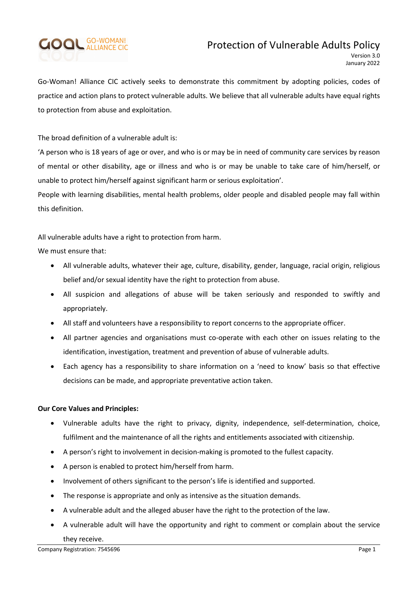# **GOOL GO-WOMAN!**

# Protection of Vulnerable Adults Policy

Go-Woman! Alliance CIC actively seeks to demonstrate this commitment by adopting policies, codes of practice and action plans to protect vulnerable adults. We believe that all vulnerable adults have equal rights to protection from abuse and exploitation.

The broad definition of a vulnerable adult is:

'A person who is 18 years of age or over, and who is or may be in need of community care services by reason of mental or other disability, age or illness and who is or may be unable to take care of him/herself, or unable to protect him/herself against significant harm or serious exploitation'.

People with learning disabilities, mental health problems, older people and disabled people may fall within this definition.

All vulnerable adults have a right to protection from harm.

We must ensure that:

- All vulnerable adults, whatever their age, culture, disability, gender, language, racial origin, religious belief and/or sexual identity have the right to protection from abuse.
- All suspicion and allegations of abuse will be taken seriously and responded to swiftly and appropriately.
- All staff and volunteers have a responsibility to report concerns to the appropriate officer.
- All partner agencies and organisations must co-operate with each other on issues relating to the identification, investigation, treatment and prevention of abuse of vulnerable adults.
- Each agency has a responsibility to share information on a 'need to know' basis so that effective decisions can be made, and appropriate preventative action taken.

## Our Core Values and Principles:

- Vulnerable adults have the right to privacy, dignity, independence, self-determination, choice, fulfilment and the maintenance of all the rights and entitlements associated with citizenship.
- A person's right to involvement in decision-making is promoted to the fullest capacity.
- A person is enabled to protect him/herself from harm.
- Involvement of others significant to the person's life is identified and supported.
- The response is appropriate and only as intensive as the situation demands.
- A vulnerable adult and the alleged abuser have the right to the protection of the law.
- A vulnerable adult will have the opportunity and right to comment or complain about the service they receive.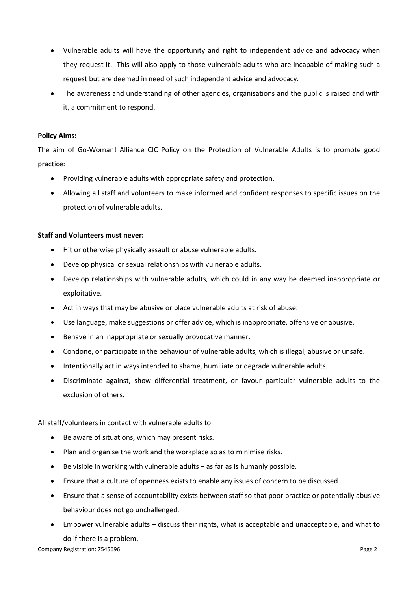- Vulnerable adults will have the opportunity and right to independent advice and advocacy when they request it. This will also apply to those vulnerable adults who are incapable of making such a request but are deemed in need of such independent advice and advocacy.
- The awareness and understanding of other agencies, organisations and the public is raised and with it, a commitment to respond.

#### Policy Aims:

The aim of Go-Woman! Alliance CIC Policy on the Protection of Vulnerable Adults is to promote good practice:

- Providing vulnerable adults with appropriate safety and protection.
- Allowing all staff and volunteers to make informed and confident responses to specific issues on the protection of vulnerable adults.

#### Staff and Volunteers must never:

- Hit or otherwise physically assault or abuse vulnerable adults.
- Develop physical or sexual relationships with vulnerable adults.
- Develop relationships with vulnerable adults, which could in any way be deemed inappropriate or exploitative.
- Act in ways that may be abusive or place vulnerable adults at risk of abuse.
- Use language, make suggestions or offer advice, which is inappropriate, offensive or abusive.
- Behave in an inappropriate or sexually provocative manner.
- Condone, or participate in the behaviour of vulnerable adults, which is illegal, abusive or unsafe.
- Intentionally act in ways intended to shame, humiliate or degrade vulnerable adults.
- Discriminate against, show differential treatment, or favour particular vulnerable adults to the exclusion of others.

All staff/volunteers in contact with vulnerable adults to:

- Be aware of situations, which may present risks.
- Plan and organise the work and the workplace so as to minimise risks.
- Be visible in working with vulnerable adults as far as is humanly possible.
- Ensure that a culture of openness exists to enable any issues of concern to be discussed.
- Ensure that a sense of accountability exists between staff so that poor practice or potentially abusive behaviour does not go unchallenged.
- Empower vulnerable adults discuss their rights, what is acceptable and unacceptable, and what to do if there is a problem.